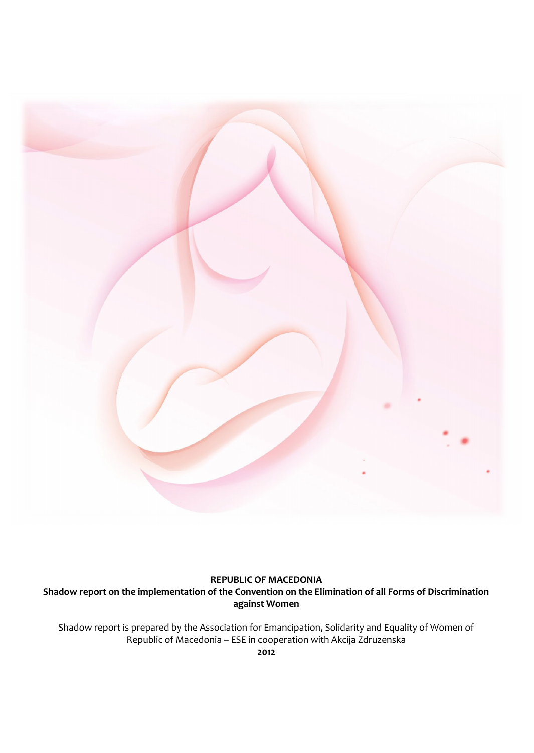

# **REPUBLIC OF MACEDONIA**

**Shadow report on the implementation of the Convention on the Elimination of all Forms of Discrimination the of against Women**

Shadow report is prepared by the Association for Emancipation, Solidarity and Equality of Women of<br>Republic of Macedonia – ESE in cooperation with Akcija Zdruzenska Republic of Macedonia – ESE in cooperation with Akcija Zdruzenska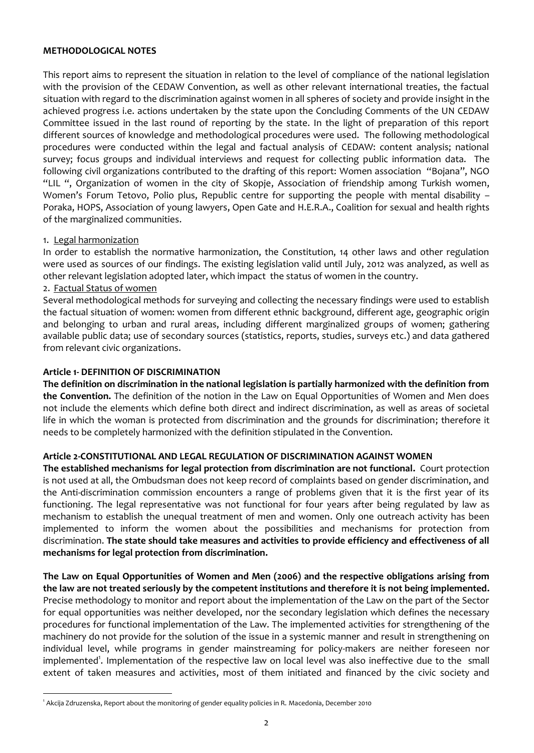### **METHODOLOGICAL NOTES**

This report aims to represent the situation in relation to the level of compliance of the national legislation with the provision of the CEDAW Convention, as well as other relevant international treaties, the factual situation with regard to the discrimination against women in all spheres of society and provide insight in the achieved progress i.e. actions undertaken by the state upon the Concluding Comments of the UN CEDAW Committee issued in the last round of reporting by the state. In the light of preparation of this report different sources of knowledge and methodological procedures were used. The following methodological procedures were conducted within the legal and factual analysis of CEDAW: content analysis; national survey; focus groups and individual interviews and request for collecting public information data. The following civil organizations contributed to the drafting of this report: Women association "Bojana", NGO "LIL ", Organization of women in the city of Skopje, Association of friendship among Turkish women, Women's Forum Tetovo, Polio plus, Republic centre for supporting the people with mental disability -Poraka, HOPS, Association of young lawyers, Open Gate and H.E.R.A., Coalition for sexual and health rights of the marginalized communities.

## 1. Legal harmonization

In order to establish the normative harmonization, the Constitution, 14 other laws and other regulation were used as sources of our findings. The existing legislation valid until July, 2012 was analyzed, as well as other relevant legislation adopted later, which impact the status of women in the country.

## 2. Factual Status of women

Several methodological methods for surveying and collecting the necessary findings were used to establish the factual situation of women: women from different ethnic background, different age, geographic origin and belonging to urban and rural areas, including different marginalized groups of women; gathering available public data; use of secondary sources (statistics, reports, studies, surveys etc.) and data gathered from relevant civic organizations.

## **Article 1- DEFINITION OF DISCRIMINATION**

**The definition on discrimination in the national legislation is partially harmonized with the definition from the Convention.** The definition of the notion in the Law on Equal Opportunities of Women and Men does not include the elements which define both direct and indirect discrimination, as well as areas of societal life in which the woman is protected from discrimination and the grounds for discrimination; therefore it needs to be completely harmonized with the definition stipulated in the Convention.

## **Article 2-CONSTITUTIONAL AND LEGAL REGULATION OF DISCRIMINATION AGAINST WOMEN**

**The established mechanisms for legal protection from discrimination are not functional.** Court protection is not used at all, the Ombudsman does not keep record of complaints based on gender discrimination, and the Anti-discrimination commission encounters a range of problems given that it is the first year of its functioning. The legal representative was not functional for four years after being regulated by law as mechanism to establish the unequal treatment of men and women. Only one outreach activity has been implemented to inform the women about the possibilities and mechanisms for protection from discrimination. **The state should take measures and activities to provide efficiency and effectiveness of all mechanisms for legal protection from discrimination.**

**The Law on Equal Opportunities of Women and Men (2006) and the respective obligations arising from the law are not treated seriously by the competent institutions and therefore it is not being implemented.** Precise methodology to monitor and report about the implementation of the Law on the part of the Sector for equal opportunities was neither developed, nor the secondary legislation which defines the necessary procedures for functional implementation of the Law. The implemented activities for strengthening of the machinery do not provide for the solution of the issue in a systemic manner and result in strengthening on individual level, while programs in gender mainstreaming for policy-makers are neither foreseen nor implemented<sup>1</sup>. Implementation of the respective law on local level was also ineffective due to the small extent of taken measures and activities, most of them initiated and financed by the civic society and

<sup>&</sup>lt;sup>1</sup> Akcija Zdruzenska, Report about the monitoring of gender equality policies in R. Macedonia, December 2010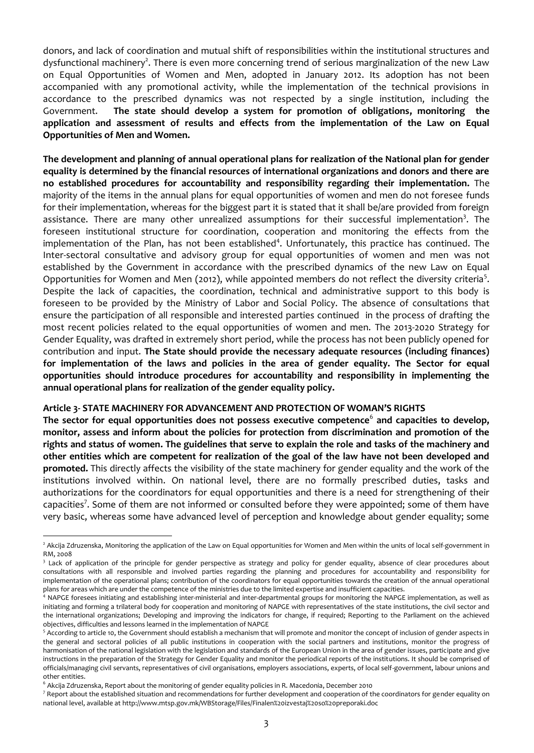donors, and lack of coordination and mutual shift of responsibilities within the institutional structures and dysfunctional machinery<sup>2</sup>. There is even more concerning trend of serious marginalization of the new Law on Equal Opportunities of Women and Men, adopted in January 2012. Its adoption has not been accompanied with any promotional activity, while the implementation of the technical provisions in accordance to the prescribed dynamics was not respected by a single institution, including the Government. **The state should develop a system for promotion of obligations, monitoring the application and assessment of results and effects from the implementation of the Law on Equal Opportunities of Men and Women.**

**The development and planning of annual operational plans for realization of the National plan for gender equality is determined by the financial resources of international organizations and donors and there are no established procedures for accountability and responsibility regarding their implementation.** The majority of the items in the annual plans for equal opportunities of women and men do not foresee funds for their implementation, whereas for the biggest part it is stated that it shall be/are provided from foreign assistance. There are many other unrealized assumptions for their successful implementation<sup>3</sup>. The foreseen institutional structure for coordination, cooperation and monitoring the effects from the implementation of the Plan, has not been established<sup>4</sup>. Unfortunately, this practice has continued. The Inter-sectoral consultative and advisory group for equal opportunities of women and men was not established by the Government in accordance with the prescribed dynamics of the new Law on Equal Opportunities for Women and Men (2012), while appointed members do not reflect the diversity criteria<sup>5</sup>. Despite the lack of capacities, the coordination, technical and administrative support to this body is foreseen to be provided by the Ministry of Labor and Social Policy. The absence of consultations that ensure the participation of all responsible and interested parties continued in the process of drafting the most recent policies related to the equal opportunities of women and men. The 2013-2020 Strategy for Gender Equality, was drafted in extremely short period, while the process has not been publicly opened for contribution and input. **The State should provide the necessary adequate resources (including finances) for implementation of the laws and policies in the area of gender equality. The Sector for equal opportunities should introduce procedures for accountability and responsibility in implementing the annual operational plans for realization of the gender equality policy.**

## **Article 3- STATE MACHINERY FOR ADVANCEMENT AND PROTECTION OF WOMAN'S RIGHTS**

The sector for equal opportunities does not possess executive competence<sup>6</sup> and capacities to develop, **monitor, assess and inform about the policies for protection from discrimination and promotion of the rights and status of women. The guidelines that serve to explain the role and tasks of the machinery and other entities which are competent for realization of the goal of the law have not been developed and promoted.** This directly affects the visibility of the state machinery for gender equality and the work of the institutions involved within. On national level, there are no formally prescribed duties, tasks and authorizations for the coordinators for equal opportunities and there is a need for strengthening of their capacities<sup>7</sup>. Some of them are not informed or consulted before they were appointed; some of them have very basic, whereas some have advanced level of perception and knowledge about gender equality; some

<sup>&</sup>lt;sup>2</sup> Akcija Zdruzenska, Monitoring the application of the Law on Equal opportunities for Women and Men within the units of local self-government in RM, 2008

<sup>&</sup>lt;sup>3</sup> Lack of application of the principle for gender perspective as strategy and policy for gender equality, absence of clear procedures about consultations with all responsible and involved parties regarding the planning and procedures for accountability and responsibility for implementation of the operational plans; contribution of the coordinators for equal opportunities towards the creation of the annual operational plans for areas which are under the competence of the ministries due to the limited expertise and insufficient capacities.

<sup>4</sup> NAPGE foresees initiating and establishing inter-ministerial and inter-departmental groups for monitoring the NAPGE implementation, as well as initiating and forming a trilateral body for cooperation and monitoring of NAPGE with representatives of the state institutions, the civil sector and the international organizations; Developing and improving the indicators for change, if required; Reporting to the Parliament on the achieved objectives, difficulties and lessons learned in the implementation of NAPGE

<sup>&</sup>lt;sup>5</sup> According to article 10, the Government should establish a mechanism that will promote and monitor the concept of inclusion of gender aspects in the general and sectoral policies of all public institutions in cooperation with the social partners and institutions, monitor the progress of harmonisation of the national legislation with the legislation and standards of the European Union in the area of gender issues, participate and give instructions in the preparation of the Strategy for Gender Equality and monitor the periodical reports of the institutions. It should be comprised of officials/managing civil servants, representatives of civil organisations, employers associations, experts, of local self-government, labour unions and other entities.

<sup>&</sup>lt;sup>6</sup> Akcija Zdruzenska, Report about the monitoring of gender equality policies in R. Macedonia, December 2010

<sup>&</sup>lt;sup>7</sup> Report about the established situation and recommendations for further development and cooperation of the coordinators for gender equality on national level, available at http://www.mtsp.gov.mk/WBStorage/Files/Finalen%20izvestaj%20so%20preporaki.doc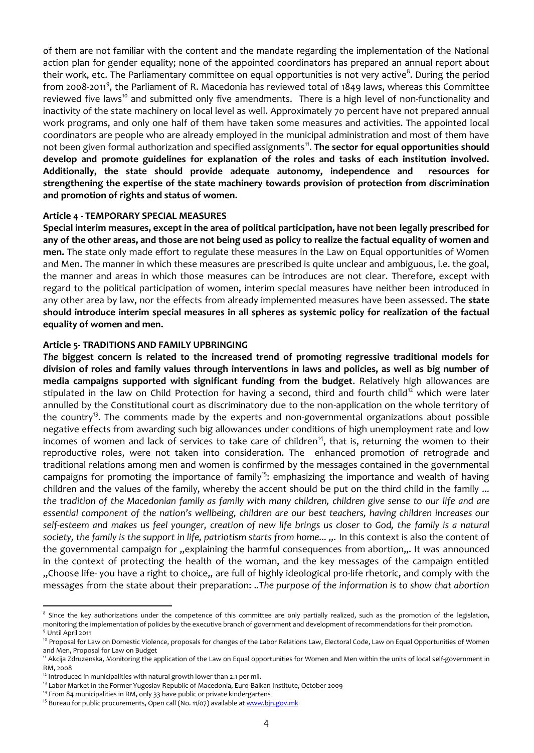of them are not familiar with the content and the mandate regarding action plan for gender equality; nonenaotfothe happponienpleade cloand annual r their workT, hoetoP.arliamentary commiptopolet wo mitoèoqsu ails on o<sup>6</sup>. Diveriyn **g** ctthine eperiod from  $2\sqrt{2008}$ , 1the Parliament of RasMenaiceewelooghiteotal of 1849 has  $\sqrt{s}$ , own hereinteens reviewed lafiw $\frac{d^2m}{d^2}$  nd submitted apomileynofilmatenThesere is a highno-heavned tionofnality and inactivith eo state machinery on loAppolroloxime la taes yw 780 percent have not pr work programs, and lfonolfy the en haave taken some measures and activities coordinators are people who are already employed in the municipal a not been given form al authorization a<sup>1</sup>n **dhes pseeccifieer out analis one popprom**teum tisties sho develop and promote guidelines for explanation of the roles and ta Addition, alt lye state should provide adequate autonomeys, ou inodbeen pende strengthening ptehretise of the state machinery towards provision of pro and promotion of rights and status of women.

#### ArticleTEMPORARY SPECIAL MEASURES

Special interim measures, except in the area of poletgi**aally pare scipiabe o**r any of the other areas, and those are not being used as policy to real menThe state only made effort to regulate these measures in the Law and Men. The manion these measures are prescribed is quite unclear and and ambiguous, i.e. the mand and and an the manner and areas in which those measures cTahnenbeefoi**xnete peot**luwcie**ts** a regard to the political participation of women, interimspecial measures ha veneither been introduced in any other area by law, nor the effects from alreedodelyenimaps!seenTha oenseletatenea should dtroductee rismpecial measures in all spheres as systoefmitice pfoal city afle equality of women and men.

#### Article FSADITIONS AND FAMILY UPBRINGING

Thebiggest concelated the increased trend of promoting regressive traditional models division of roles and family values through interventions in laws and media campaigns supported with significant Rfeenhadtiinveellyfarbhinoingwhtahnecebsudage stipulated in the law on Child Protection for havin $\frac{1}{9}$ wahisbcwnede thated annulled by the Constitutional court as diaspoprimciantaio onryonduthetow hibe be nitoen the cou<sup>n</sup>itrichided mements de by the exper-gosoværn**d** monemal organizations about possible. negative effects from awarding such big allowances under conditions incomes of women and lack of service  $\mathring{s}^4$ , that a kine to an engof the hilve of the returning the women to reproductive roles, were not taken indenhanced exprestmention hef retrograde and promotion of retrograde and p traditional relations amongismen and indontende robogenes sages contained in the go cam-apigns for promoting the imp<sup>ol</sup> felam portang in the importance and we children and the values of the family, whereby the accent should be the tradition of the Macedonia**h fraa**miyly cansildremily children foeiwaendseansee essential component of the nation s wellbeing, children are our best selefsteem and makes us feel younger, creation of netw mlilifye ibsriang meatuus society, the family is the support in life, platthoisismonsteaxttsisfradsmohtohme.ed the governmental campaign for explaining the harmful commsequences in the context of protecting the health of the woman, and the key r

Choose y loi tue have a right atroo£ uclhio oit ehighly ide-bilfoeginchaelt oprrioc, ay novoit ho o tmine l messages from the tshteaitre parbout their prurpose of the information is to show

 $8$  Since the key authorizations under the competence of this committee are only eopias the promotion of the promotion of the computation of the such as the legislation of the legislation of the legislation of the legisla monitoring the implementation of policibes obygother a meet and tared botanelopment of recommendations for <sup>9</sup> Until A2p0r1h

 $^{10}$ Proposal for Law on Dompeospicos aVlisolfecnce hanges of the  $\tt LE$ albe.ortoReal,alCaionochessnLEaquual Opportunities of ' and Menoposallafworon Budget

 $^{11}$ Akcija Zdruzenska, Monitoring the application of the Law on Equal opportuneit $\mathfrak k$ eosvefonrm Welonmenn ar RM, 2008

 $^{12}$ Introduced in municipalities with na $2$ uptar gniowth lower than

 $13$ Labor Metarikh the Former Yugoslav Repub-Balban Marcset of toutiea, CE outroober 2009

<sup>14</sup>From 84 municipalities in RM, only 33 have public or private kindergartens

 $15B$ ureau for public procure (No. 13/20 $\sigma$ a) ie ab we we know the available at  $15B$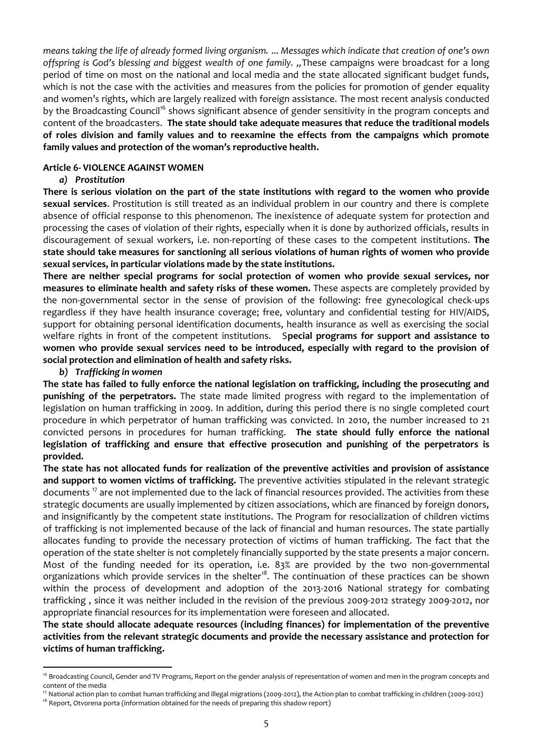*means taking the life of already formed living organism.* ... *Messages which indicate that creation of one's own* offspring is God's blessing and biggest wealth of one family. "These campaigns were broadcast for a long period of time on most on the national and local media and the state allocated significant budget funds, which is not the case with the activities and measures from the policies for promotion of gender equality and women's rights, which are largely realized with foreign assistance. The most recent analysis conducted by the Broadcasting Council<sup>16</sup> shows significant absence of gender sensitivity in the program concepts and content of the broadcasters. **The state should take adequate measures that reduce the traditional models of roles division and family values and to reexamine the effects from the campaigns which promote family values and protection of the woman's reproductive health.**

## **Article 6- VIOLENCE AGAINST WOMEN**

## *a) Prostitution*

**There is serious violation on the part of the state institutions with regard to the women who provide sexual services**. Prostitution is still treated as an individual problem in our country and there is complete absence of official response to this phenomenon. The inexistence of adequate system for protection and processing the cases of violation of their rights, especially when it is done by authorized officials, results in discouragement of sexual workers, i.e. non-reporting of these cases to the competent institutions. **The state should take measures for sanctioning all serious violations of human rights of women who provide sexual services, in particular violations made by the state institutions.**

**There are neither special programs for social protection of women who provide sexual services, nor measures to eliminate health and safety risks of these women.** These aspects are completely provided by the non-governmental sector in the sense of provision of the following: free gynecological check-ups regardless if they have health insurance coverage; free, voluntary and confidential testing for HIV/AIDS, support for obtaining personal identification documents, health insurance as well as exercising the social welfare rights in front of the competent institutions. S**pecial programs for support and assistance to women who provide sexual services need to be introduced, especially with regard to the provision of social protection and elimination of health and safety risks.**

## *b) Trafficking in women*

**The state has failed to fully enforce the national legislation on trafficking, including the prosecuting and punishing of the perpetrators.** The state made limited progress with regard to the implementation of legislation on human trafficking in 2009. In addition, during this period there is no single completed court procedure in which perpetrator of human trafficking was convicted. In 2010, the number increased to 21 convicted persons in procedures for human trafficking. **The state should fully enforce the national legislation of trafficking and ensure that effective prosecution and punishing of the perpetrators is provided.**

**The state has not allocated funds for realization of the preventive activities and provision of assistance and support to women victims of trafficking.** The preventive activities stipulated in the relevant strategic documents  $17$  are not implemented due to the lack of financial resources provided. The activities from these strategic documents are usually implemented by citizen associations, which are financed by foreign donors, and insignificantly by the competent state institutions. The Program for resocialization of children victims of trafficking is not implemented because of the lack of financial and human resources. The state partially allocates funding to provide the necessary protection of victims of human trafficking. The fact that the operation of the state shelter is not completely financially supported by the state presents a major concern. Most of the funding needed for its operation, i.e. 83% are provided by the two non-governmental organizations which provide services in the shelter<sup>18</sup>. The continuation of these practices can be shown within the process of development and adoption of the 2013-2016 National strategy for combating trafficking , since it was neither included in the revision of the previous 2009-2012 strategy 2009-2012, nor appropriate financial resources for its implementation were foreseen and allocated.

**The state should allocate adequate resources (including finances) for implementation of the preventive activities from the relevant strategic documents and provide the necessary assistance and protection for victims of human trafficking.**

<sup>&</sup>lt;sup>16</sup> Broadcasting Council, Gender and TV Programs, Report on the gender analysis of representation of women and men in the program concepts and content of the media

<sup>17</sup> National action plan to combat human trafficking and illegal migrations (2009-2012), the Action plan to combat trafficking in children (2009-2012)

 $18$  Report, Otvorena porta (information obtained for the needs of preparing this shadow report)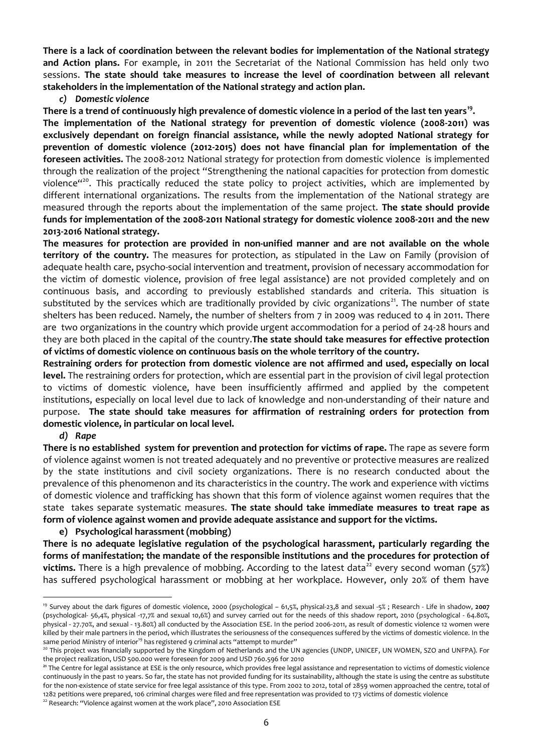**There is a lack of coordination between the relevant bodies for implementation of the National strategy and Action plans.** For example, in 2011 the Secretariat of the National Commission has held only two sessions. **The state should take measures to increase the level of coordination between all relevant stakeholders in the implementation of the National strategy and action plan.**

#### *c) Domestic violence*

**There is a trend of continuously high prevalence of domestic violence in a period of the last ten years<sup>19</sup> . The implementation of the National strategy for prevention of domestic violence (2008-2011) was exclusively dependant on foreign financial assistance, while the newly adopted National strategy for prevention of domestic violence (2012-2015) does not have financial plan for implementation of the foreseen activities.** The 2008-2012 National strategy for protection from domestic violence is implemented through the realization of the project "Strengthening the national capacities for protection from domestic violence $H^{(20)}$ . This practically reduced the state policy to project activities, which are implemented by different international organizations. The results from the implementation of the National strategy are measured through the reports about the implementation of the same project. **The state should provide funds for implementation of the 2008-2011 National strategy for domestic violence 2008-2011 and the new 2013-2016 National strategy.**

**The measures for protection are provided in non-unified manner and are not available on the whole territory of the country.** The measures for protection, as stipulated in the Law on Family (provision of adequate health care, psycho-social intervention and treatment, provision of necessary accommodation for the victim of domestic violence, provision of free legal assistance) are not provided completely and on continuous basis, and according to previously established standards and criteria. This situation is substituted by the services which are traditionally provided by civic organizations<sup>21</sup>. The number of state shelters has been reduced. Namely, the number of shelters from 7 in 2009 was reduced to 4 in 2011. There are two organizations in the country which provide urgent accommodation for a period of 24-28 hours and they are both placed in the capital of the country.**The state should take measures for effective protection of victims of domestic violence on continuous basis on the whole territory of the country.**

**Restraining orders for protection from domestic violence are not affirmed and used, especially on local level.** The restraining orders for protection, which are essential part in the provision of civil legal protection to victims of domestic violence, have been insufficiently affirmed and applied by the competent institutions, especially on local level due to lack of knowledge and non-understanding of their nature and purpose. **The state should take measures for affirmation of restraining orders for protection from domestic violence, in particular on local level.**

### *d) Rape*

**There is no established system for prevention and protection for victims of rape.** The rape as severe form of violence against women is not treated adequately and no preventive or protective measures are realized by the state institutions and civil society organizations. There is no research conducted about the prevalence of this phenomenon and its characteristics in the country. The work and experience with victims of domestic violence and trafficking has shown that this form of violence against women requires that the state takes separate systematic measures. **The state should take immediate measures to treat rape as form of violence against women and provide adequate assistance and support for the victims.**

### **e) Psychological harassment (mobbing)**

**There is no adequate legislative regulation of the psychological harassment, particularly regarding the forms of manifestation; the mandate of the responsible institutions and the procedures for protection of** victims. There is a high prevalence of mobbing. According to the latest data<sup>22</sup> every second woman (57%) has suffered psychological harassment or mobbing at her workplace. However, only 20% of them have

<sup>19</sup> Survey about the dark figures of domestic violence, 2000 (psychological – 61,5%, physical-23,8 and sexual -5% ; Research - Life in shadow, **2007** (psychological- 56,4%, physical -17,7% and sexual 10,6%) and survey carried out for the needs of this shadow report, 2010 (psychological - 64.80%, physical - 27.70%, and sexual - 13.80%) all conducted by the Association ESE. In the period 2006-2011, as result of domestic violence 12 women were killed by their male partners in the period, which illustrates the seriousness of the consequences suffered by the victims of domestic violence. In the same period Ministry of interior<sup>19</sup> has registered 9 criminal acts "attempt to murder"

<sup>&</sup>lt;sup>20</sup> This project was financially supported by the Kingdom of Netherlands and the UN agencies (UNDP, UNICEF, UN WOMEN, SZO and UNFPA). For the project realization, USD 500.000 were foreseen for 2009 and USD 760.596 for 2010

**<sup>21</sup>** The Centre for legal assistance at ESE is the only resource, which provides free legal assistance and representation to victims of domestic violence continuously in the past 10 years. So far, the state has not provided funding for its sustainability, although the state is using the centre as substitute for the non-existence of state service for free legal assistance of this type. From 2002 to 2012, total of 2859 women approached the centre, total of 1282 petitions were prepared, 106 criminal charges were filed and free representation was provided to 173 victims of domestic violence

<sup>&</sup>lt;sup>22</sup> Research: "Violence against women at the work place", 2010 Association ESE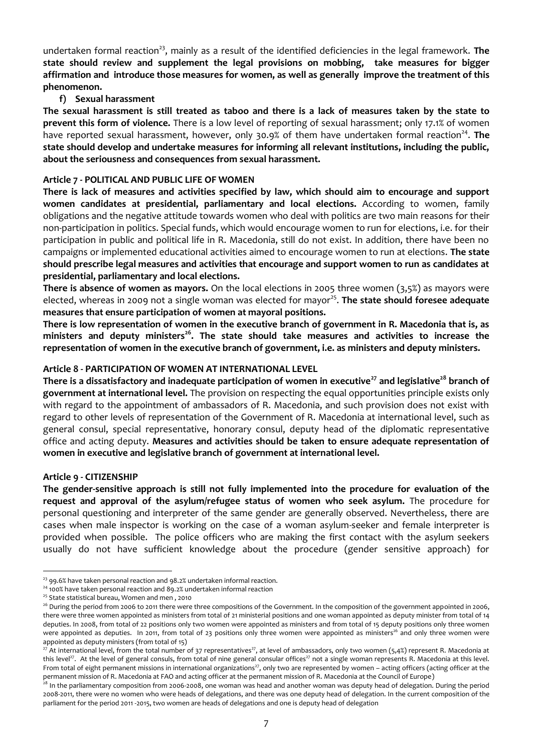undertaken formal reaction<sup>23</sup>, mainly as a result of the identified deficiencies in the legal framework. The **state should review and supplement the legal provisions on mobbing, take measures for bigger affirmation and introduce those measures for women, as well as generally improve the treatment of this phenomenon.**

## **f) Sexual harassment**

**The sexual harassment is still treated as taboo and there is a lack of measures taken by the state to prevent this form of violence.** There is a low level of reporting of sexual harassment; only 17.1% of women have reported sexual harassment, however, only 30.9% of them have undertaken formal reaction<sup>24</sup>. The **state should develop and undertake measures for informing all relevant institutions, including the public, about the seriousness and consequences from sexual harassment.**

## **Article 7 - POLITICAL AND PUBLIC LIFE OF WOMEN**

**There is lack of measures and activities specified by law, which should aim to encourage and support women candidates at presidential, parliamentary and local elections.** According to women, family obligations and the negative attitude towards women who deal with politics are two main reasons for their non-participation in politics. Special funds, which would encourage women to run for elections, i.e. for their participation in public and political life in R. Macedonia, still do not exist. In addition, there have been no campaigns or implemented educational activities aimed to encourage women to run at elections. **The state should prescribe legal measures and activities that encourage and support women to run as candidates at presidential, parliamentary and local elections.**

**There is absence of women as mayors.** On the local elections in 2005 three women (3,5%) as mayors were elected, whereas in 2009 not a single woman was elected for mayor<sup>25</sup>. The state should foresee adequate **measures that ensure participation of women at mayoral positions.**

**There is low representation of women in the executive branch of government in R. Macedonia that is, as ministers and deputy ministers<sup>26</sup>. The state should take measures and activities to increase the representation of women in the executive branch of government, i.e. as ministers and deputy ministers.**

## **Article 8 - PARTICIPATION OF WOMEN AT INTERNATIONAL LEVEL**

**There is a dissatisfactory and inadequate participation of women in executive<sup>27</sup> and legislative<sup>28</sup> branch of government at international level.** The provision on respecting the equal opportunities principle exists only with regard to the appointment of ambassadors of R. Macedonia, and such provision does not exist with regard to other levels of representation of the Government of R. Macedonia at international level, such as general consul, special representative, honorary consul, deputy head of the diplomatic representative office and acting deputy. **Measures and activities should be taken to ensure adequate representation of women in executive and legislative branch of government at international level.**

### **Article 9 - CITIZENSHIP**

**The gender-sensitive approach is still not fully implemented into the procedure for evaluation of the request and approval of the asylum/refugee status of women who seek asylum.** The procedure for personal questioning and interpreter of the same gender are generally observed. Nevertheless, there are cases when male inspector is working on the case of a woman asylum-seeker and female interpreter is provided when possible. The police officers who are making the first contact with the asylum seekers usually do not have sufficient knowledge about the procedure (gender sensitive approach) for

 $23$  99.6% have taken personal reaction and 98.2% undertaken informal reaction.

<sup>&</sup>lt;sup>24</sup> 100% have taken personal reaction and 89.2% undertaken informal reaction

<sup>&</sup>lt;sup>25</sup> State statistical bureau, Women and men, 2010

<sup>&</sup>lt;sup>26</sup> During the period from 2006 to 2011 there were three compositions of the Government. In the composition of the government appointed in 2006, there were three women appointed as ministers from total of 21 ministerial positions and one woman appointed as deputy minister from total of 14 deputies. In 2008, from total of 22 positions only two women were appointed as ministers and from total of 15 deputy positions only three women were appointed as deputies. In 2011, from total of 23 positions only three women were appointed as ministers<sup>26</sup> and only three women were appointed as deputy ministers (from total of 15)

<sup>&</sup>lt;sup>27</sup> At international level, from the total number of 37 representatives<sup>27</sup>, at level of ambassadors, only two women (5,4%) represent R. Macedonia at this level<sup>27</sup>. At the level of general consuls, from total of nine general consular offices<sup>27</sup> not a single woman represents R. Macedonia at this level. From total of eight permanent missions in international organizations<sup>27</sup>, only two are represented by women - acting officers (acting officer at the permanent mission of R. Macedonia at FAO and acting officer at the permanent mission of R. Macedonia at the Council of Europe)

<sup>&</sup>lt;sup>28</sup> In the parliamentary composition from 2006-2008, one woman was head and another woman was deputy head of delegation. During the period 2008-2011, there were no women who were heads of delegations, and there was one deputy head of delegation. In the current composition of the parliament for the period 2011 -2015, two women are heads of delegations and one is deputy head of delegation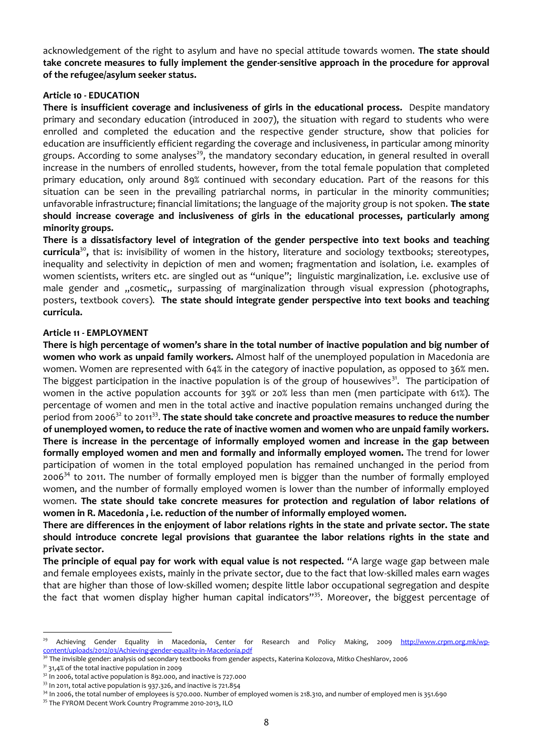acknowledgement of the right to asylum and have no Tshpe eastical stato tuit dde take concrete measures to fully imsnephi**sm** the apper open the procedure of the refugee/asylum seeker status.

#### Article **EDOUCATION**

There is insufficient coverage and inclusiveness cess Degis psitenmaned adoum primary and secondary education (introduced in 2007), the situation enrolled and completed the education and the respective gender s education are insufficient the efficing the coverage and inclusiveness, in groups. According to  $\hat{s}^9$ omhee amanhydsaetspry secondary education, in general resulted in  $\hat{s}$ increase in the numbers of enrolled students, lehopworweation on that hecoloning primary education, only around 89% continued with secondary educ situation can be seen in the prevailing patriarchal norms, in parti unfavorable infeasftinuacntouiral limitations; the language of the  $T$  mea  $\mathsf{is}$ ctraittey g should increase coverage and inclusiveness of girls in the educati minority groups.

There is a dissatisfactory levelheoge integrate perspective into text books curric lithat is: invisibility of women in the history, literature and s inequality and selectivity in depiction of men and women; fragmenta women scientists, writers etc. aree singihegout iosulicans an unimpaulization, i.e. male gender and cosmetic surpassing of marginalization through posters, textbook The veet rest) eshould integrate gender perspective into curricula.

## Article EMIPLOYMENT

There is pheirg the ntage of men s share in the total number of inactive population and big number of inactive population and big numbers of inactive population and big numbers of inactive population and big numbers of ina women who work as unpaid  $A$  almost wat keorfs the unemployed popauleation women. Women are represented with 64% in the category of inactive The biggest participation in the inactive populati<sup>3</sup>on Tsheofpatheicgipatipor women in the active populat390% acc2o01% tsess than men (men participate with 61%). percentage of women and men in the total active and inactive popula period from <sup>2</sup>t 202  $\mathcal{C}$ . The state should take concrete and proactive emeasur of unemployed women, to reduce the rate of inactive women and wome There is increase in the percentage of informally employed women formally employed women and men and lyfogroup and  $\overline{\text{w}}$  be treated for lower participation of women in the total employed population has remain  $200^{\circ}$ 6to 2011. The number of formally employed men is bigger than t women, and the onfumbor enally employed women is lower than the numbe womenhe state should take concrete measures for protection and re women in R. Macedonia, i.e. reduction of the number of informally er There are differences in the enjoyment of labor reilvaattisesencstoTiningehts staitne th should introduce concrete legal provisions that guarantee the labor private sector.

The principle adfpay for work with equal value lass gree twage poes between the control of  $\alpha$ and female employees exists, mainly in the priva-sekillened to males use that he that are higher than-stkhiolseed owfolmown; dee stap bitcer loit tulupational segregation the fact that women display higher hü<sup>5</sup>m **aMorceapviotal indicatogeness**t perce

 $3131,4\%$  of the total inactive population in 2009

<sup>&</sup>lt;sup>29</sup> Achieving Gender Equality in M**áocredoRneia**, ear Chentend Po,lic 200<u>Mblatkp:in/giwww.crpm.po</u>rg.mk/w content/uploads/2012geb.d/equiaelinty gcedonia.pdf

 $\overline{^{30}$ The invisible gender: analysis od secondary ,teX $x$ attbeorokas Kla**odioniko General Alexano e**n tis

 $32$ In 2006, ttoivæl paccpulation is 892.000, and inactive is 727.000

 $33$ In 2011, total active population is 937.326, and inactive is 721.854

 $^{34}$ In 2006, the total number of employees is 570.000. Number of employed women is 218.310, an  $35$ The FYROM Decent Work Count201Brogramme 2010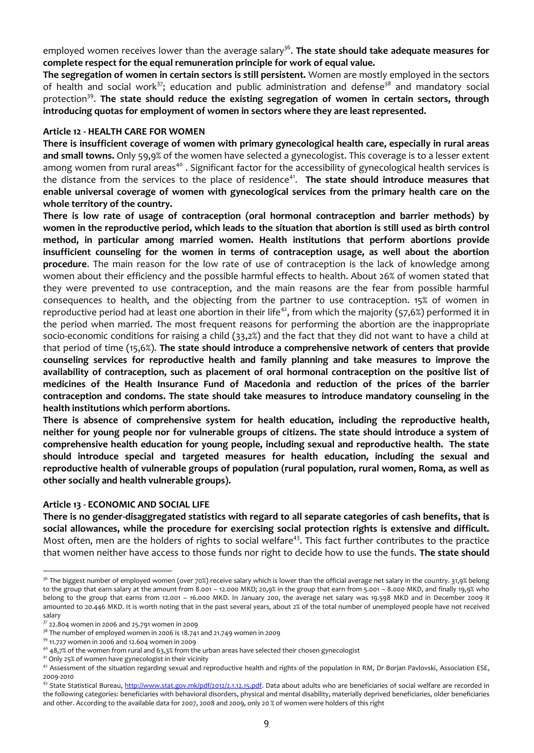employed women receives lower th<sup>3</sup>åñihtehestænvter**ageuseilaak**e adequate m complet perets for the equal remuneration principle for work of equal va The segregation of women in certain sWe omogen as a trill of the seignt perfollongent in of health and s $\delta\%$ i**eduwat**kon and public adminis $^3$ fræntidoammanatobroy'e fseonosi**e**l protectloThe state should reduce the existing segregation of women introducing quotas for employment of women in sectors where they ar

#### Artic<sup>1</sup> **2**HEALTH REOR OMEN

There is cneuffcoverage of women with primary gynecological health and small  $\omega_{\text{MWNS}}$  59.9% of the wome $_{\text{advø}$ eoslobeisted his coverage is to among women from  $40\mu$  Sailg arteaant factor for the accessibility of gynec the distance from the services to <sup>4</sup>th  $\overline{e}$  head ate fsheosuid deningeroduce mea enable universal coverage of women with gynecmonlaorgyichaelastehrvoi**aes ono** whole territory of the country.

There is low rate of usage of contraception (oral hormonal contrad women in the reproductive period, which leads to the situation of hat a method, in particular among **maaithed institutions** that perform abor insufficient counseling for the women in terms of contraception us procedurTehe main reason for the low anateptioon uisse tohite cloanto for knowled women about their efficiency and the possible harmful effects to hea they were prevented to use contraception, and the main reasons a consequence the at the inductional the partner to use continently continently continently continently women in reproductive period had at least o<sup>4</sup> $\hat{\eta}$  efradomorwhich in the mation of theiry (57,6%) performance it is in the period when married. The most frequenthee assombion apertheeminap soc $\frac{1}{2}$  and  $\frac{1}{2}$  conditions for raising a child  $(33, 2\%)$  and the fact that that period of time be state is hould introduce a comprehensive network counsing services for reproductive health and family planning and availability of contraception, such as placement of oral hormonal co medicines of the Health Insurance Fund ctoin Macter of Larianes of duhe contraception and condoms. The state should take measures to intro health institutions which perform abortions.

There is absence of comprehensive system for healphthodeuchd icvaetionne, a liti neither for young people nor for vulnerable groups of citizens. The comprehensive health education for young people, including sexual and reproduction for  $\alpha$ should introduce spærgientedand heasures for health education, includ reproductive health of vulnerable groups of population (rural populat other socially and health vulnerable groups).

### Article ECONOMIC AND SOCIAL LIFE

There is no-disaggregated statistics with regard to all separatheatchesteg social allow wah ides the procedure for exercising social protection rights is Most often, men are the tshotled especional  $4^3$  we off the fact further contributes to that women neither have access to those funds nor right tsotadtee scheouhld

 $36$ The biggest number of employed women (over 70%) receive salary which is not ry er 31, han the conformed control to the group that earn salary at the 2 a0m0olu MtKD:pm20890%01in the group 8thOa0l0e MonKhDfroammd5f.0n0a1lly 19,9 belong to the group that earln6s.0f0rom MKD.00m2.00m2.00amlwear average net 199a banMaK Dwaasnd in De2lo9dmBhber amounte 210 to 4M6KD tiso with noting that in the past s2e%oforbaley beatrasl, raubnobule rofpeuonpe lme phloayweed not receive salary

 $3722.804$  men 2000 \$00  $45.791$  d men 2000 9

 $38$ The number of employ $2e$ 0d0i $\cdot$ 63108 $m$  zeafmi $\cdot$ 1049 men 20n09

 $3911.7$   $\sqrt{27}$  m e n 20n0  $\frac{1}{20}$  n d 2.60  $\frac{1}{9}$  m e n 20n0  $\frac{1}{9}$ 

 $4048,7%$  of the women from rural and 63,3% from the urban areas have selected their chosen gyr  $41$ Only 25% of wognyen ne choal originst in their vicinity

 $^{42}$ Assessment of the situation regardicntgves eheau allthanach of enpigohols of the Prp BipulantioPhaAisho oReNikation ESE 2009-2010

<sup>&</sup>lt;sup>43</sup>State Statistic<u>alltp:u//www.www.stat.gov.mk/pdf</u>/D0a1ta/ab1o.u112.a1d5ur**les bwehe**ficciaries of social welfare are the following cabteengeofricei**ar**ies with beha, pihoyr**s**ailc**ells aomodernsentanla deis iaabil**yity) eprived beneficiaries, older and othAccroording to the available 2002 for 2009, on elly 2008 bootlowers of this right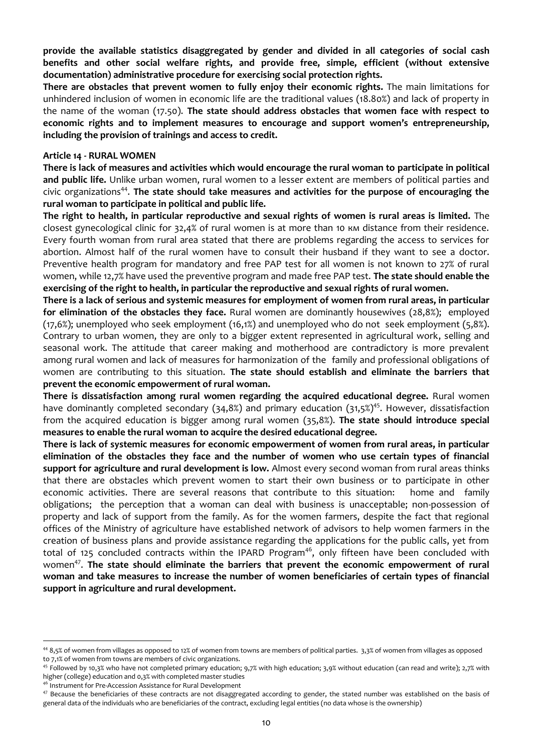**provide the available statistics disaggregated by gender and divided in all categories of social cash benefits and other social welfare rights, and provide free, simple, efficient (without extensive documentation) administrative procedure for exercising social protection rights.**

**There are obstacles that prevent women to fully enjoy their economic rights.** The main limitations for unhindered inclusion of women in economic life are the traditional values (18.80%) and lack of property in the name of the woman (17.50). **The state should address obstacles that women face with respect to economic rights and to implement measures to encourage and support women's entrepreneurship, including the provision of trainings and access to credit.**

#### **Article 14 - RURAL WOMEN**

**There is lack of measures and activities which would encourage the rural woman to participate in political and public life.** Unlike urban women, rural women to a lesser extent are members of political parties and civic organizations<sup>44</sup>. The state should take measures and activities for the purpose of encouraging the **rural woman to participate in political and public life.**

**The right to health, in particular reproductive and sexual rights of women is rural areas is limited.** The closest gynecological clinic for 32,4% of rural women is at more than 10 км distance from their residence. Every fourth woman from rural area stated that there are problems regarding the access to services for abortion. Almost half of the rural women have to consult their husband if they want to see a doctor. Preventive health program for mandatory and free PAP test for all women is not known to 27% of rural women, while 12,7% have used the preventive program and made free PAP test. **The state should enable the exercising of the right to health, in particular the reproductive and sexual rights of rural women.**

**There is a lack of serious and systemic measures for employment of women from rural areas, in particular for elimination of the obstacles they face.** Rural women are dominantly housewives (28,8%); employed (17,6%); unemployed who seek employment (16,1%) and unemployed who do not seek employment (5,8%). Contrary to urban women, they are only to a bigger extent represented in agricultural work, selling and seasonal work. The attitude that career making and motherhood are contradictory is more prevalent among rural women and lack of measures for harmonization of the family and professional obligations of women are contributing to this situation. **The state should establish and eliminate the barriers that prevent the economic empowerment of rural woman.**

**There is dissatisfaction among rural women regarding the acquired educational degree.** Rural women have dominantly completed secondary (34,8%) and primary education (31,5%)<sup>45</sup>. However, dissatisfaction from the acquired education is bigger among rural women (35,8%). **The state should introduce special measures to enable the rural woman to acquire the desired educational degree.**

**There is lack of systemic measures for economic empowerment of women from rural areas, in particular elimination of the obstacles they face and the number of women who use certain types of financial support for agriculture and rural development is low.** Almost every second woman from rural areas thinks that there are obstacles which prevent women to start their own business or to participate in other economic activities. There are several reasons that contribute to this situation: home and family obligations; the perception that a woman can deal with business is unacceptable; non-possession of property and lack of support from the family. As for the women farmers, despite the fact that regional offices of the Ministry of agriculture have established network of advisors to help women farmers in the creation of business plans and provide assistance regarding the applications for the public calls, yet from total of 125 concluded contracts within the IPARD Program<sup>46</sup>, only fifteen have been concluded with women<sup>47</sup>. The state should eliminate the barriers that prevent the economic empowerment of rural **woman and take measures to increase the number of women beneficiaries of certain types of financial support in agriculture and rural development.**

<sup>44</sup> 8,5% of women from villages as opposed to 12% of women from towns are members of political parties. 3,3% of women from villages as opposed to 7,1% of women from towns are members of civic organizations.

 $45$  Followed by 10,3% who have not completed primary education; 9,7% with high education; 3,9% without education (can read and write); 2,7% with higher (college) education and 0,3% with completed master studies

<sup>&</sup>lt;sup>46</sup> Instrument for Pre-Accession Assistance for Rural Development

<sup>&</sup>lt;sup>47</sup> Because the beneficiaries of these contracts are not disaggregated according to gender, the stated number was established on the basis of general data of the individuals who are beneficiaries of the contract, excluding legal entities (no data whose is the ownership)